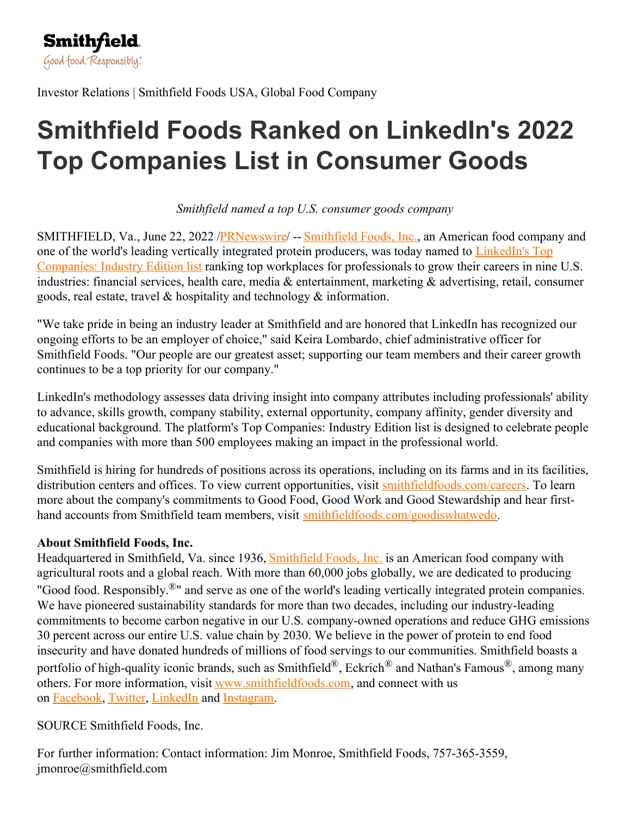

Investor Relations | Smithfield Foods USA, Global Food Company

## **Smithfield Foods Ranked on LinkedIn's 2022 Top Companies List in Consumer Goods**

*Smithfield named a top U.S. consumer goods company*

SMITHFIELD, Va., June 22, 2022 [/PRNewswire](http://www.prnewswire.com/)/ -- [Smithfield](https://c212.net/c/link/?t=0&l=en&o=3574934-1&h=307023059&u=https%3A%2F%2Fwww.smithfieldfoods.com%2F&a=Smithfield+Foods%2C+Inc.) Foods, Inc., an American food company and one of the world's leading vertically integrated protein producers, was today named to LinkedIn's Top Companies: Industry Edition list ranking top workplaces for [professionals](https://c212.net/c/link/?t=0&l=en&o=3574934-1&h=3850926011&u=https%3A%2F%2Fwww.linkedin.com%2Fpulse%2Ftop-companies-2022-consumer-goods-linkedin-news%2F&a=LinkedIn%27s+Top+Companies%3A+Industry+Edition+list) to grow their careers in nine U.S. industries: financial services, health care, media & entertainment, marketing & advertising, retail, consumer goods, real estate, travel & hospitality and technology & information.

"We take pride in being an industry leader at Smithfield and are honored that LinkedIn has recognized our ongoing efforts to be an employer of choice," said Keira Lombardo, chief administrative officer for Smithfield Foods. "Our people are our greatest asset; supporting our team members and their career growth continues to be a top priority for our company."

LinkedIn's methodology assesses data driving insight into company attributes including professionals' ability to advance, skills growth, company stability, external opportunity, company affinity, gender diversity and educational background. The platform's Top Companies: Industry Edition list is designed to celebrate people and companies with more than 500 employees making an impact in the professional world.

Smithfield is hiring for hundreds of positions across its operations, including on its farms and in its facilities, distribution centers and offices. To view current opportunities, visit [smithfieldfoods.com/careers](https://c212.net/c/link/?t=0&l=en&o=3574934-1&h=2262594862&u=https%3A%2F%2Fwww.smithfieldfoods.com%2Fcareers&a=smithfieldfoods.com%2Fcareers). To learn more about the company's commitments to Good Food, Good Work and Good Stewardship and hear firsthand accounts from Smithfield team members, visit [smithfieldfoods.com/goodiswhatwedo](https://c212.net/c/link/?t=0&l=en&o=3574934-1&h=416810610&u=https%3A%2F%2Fwww.smithfieldfoods.com%2Fgoodiswhatwedo&a=smithfieldfoods.com%2Fgoodiswhatwedo).

## **About Smithfield Foods, Inc.**

Headquartered in [Smithfield](https://c212.net/c/link/?t=0&l=en&o=3574934-1&h=2341411627&u=https%3A%2F%2Fc212.net%2Fc%2Flink%2F%3Ft%3D0%26l%3Den%26o%3D3481276-1%26h%3D3500985775%26u%3Dhttps%253A%252F%252Fwww.smithfieldfoods.com%252F%26a%3DSmithfield%2BFoods%252C%2BInc.&a=Smithfield+Foods%2C+Inc.), Va. since 1936, **Smithfield Foods**, Inc. is an American food company with agricultural roots and a global reach. With more than 60,000 jobs globally, we are dedicated to producing "Good food. Responsibly.®" and serve as one of the world's leading vertically integrated protein companies. We have pioneered sustainability standards for more than two decades, including our industry-leading commitments to become carbon negative in our U.S. company-owned operations and reduce GHG emissions 30 percent across our entire U.S. value chain by 2030. We believe in the power of protein to end food insecurity and have donated hundreds of millions of food servings to our communities. Smithfield boasts a portfolio of high-quality iconic brands, such as Smithfield<sup>®</sup>, Eckrich<sup>®</sup> and Nathan's Famous<sup>®</sup>, among many others. For more information, visit [www.smithfieldfoods.com](https://c212.net/c/link/?t=0&l=en&o=3574934-1&h=3969335495&u=https%3A%2F%2Fc212.net%2Fc%2Flink%2F%3Ft%3D0%26l%3Den%26o%3D3481276-1%26h%3D1657238447%26u%3Dhttps%253A%252F%252Fc212.net%252Fc%252Flink%252F%253Ft%253D0%2526l%253Den%2526o%253D3409886-1%2526h%253D2666258769%2526u%253Dhttp%25253A%25252F%25252Fwww.smithfieldfoods.com%25252F%2526a%253Dwww.smithfieldfoods.com%26a%3Dwww.smithfieldfoods.com&a=www.smithfieldfoods.com), and connect with us on [Facebook](https://c212.net/c/link/?t=0&l=en&o=3574934-1&h=4011244306&u=https%3A%2F%2Fc212.net%2Fc%2Flink%2F%3Ft%3D0%26l%3Den%26o%3D3481276-1%26h%3D3285753967%26u%3Dhttps%253A%252F%252Fc212.net%252Fc%252Flink%252F%253Ft%253D0%2526l%253Den%2526o%253D3409886-1%2526h%253D882790771%2526u%253Dhttps%25253A%25252F%25252Fwww.globenewswire.com%25252FTracker%25253Fdata%25253DyIyU2_DwhOZVC934YdVu9h4-pva7g_E84bIOO4QsL4sxD8lWaPJiXsluj8g80cYlJ5yVKlAUXRCV_NN7a2IVHFcpvi6v_7MIuJttE6f10Ew%25253D%2526a%253DFacebook%26a%3DFacebook&a=Facebook), [Twitter](https://c212.net/c/link/?t=0&l=en&o=3574934-1&h=1905562249&u=https%3A%2F%2Fc212.net%2Fc%2Flink%2F%3Ft%3D0%26l%3Den%26o%3D3481276-1%26h%3D4283758340%26u%3Dhttps%253A%252F%252Fc212.net%252Fc%252Flink%252F%253Ft%253D0%2526l%253Den%2526o%253D3409886-1%2526h%253D514171541%2526u%253Dhttps%25253A%25252F%25252Fwww.globenewswire.com%25252FTracker%25253Fdata%25253D_Mp-eRAEQIhYDx9IzeScisVSU5VHLTZgWbv-t1TLPL6rfeIqHHMuJUM4Nfc7RjeC7YlQXXOyzGs96kX5tlFYKDZnLTYeDteXyaaU6g_y0CM%25253D%2526a%253DTwitter%26a%3DTwitter&a=Twitter), [LinkedIn](https://c212.net/c/link/?t=0&l=en&o=3574934-1&h=975150329&u=https%3A%2F%2Fc212.net%2Fc%2Flink%2F%3Ft%3D0%26l%3Den%26o%3D3481276-1%26h%3D161201979%26u%3Dhttps%253A%252F%252Fc212.net%252Fc%252Flink%252F%253Ft%253D0%2526l%253Den%2526o%253D3409886-1%2526h%253D2680507101%2526u%253Dhttps%25253A%25252F%25252Fwww.globenewswire.com%25252FTracker%25253Fdata%25253Deazz6c7YoHDQRtzwIpmoXghhTzZRHdwyg8WQZnJ3g0dmqltaPTSmSIhEQzLIteXYiT00QzKYJDEcn1ZQWA49yWcMz2QW4TPcNHGjhFLDoDo%25253D%2526a%253DLinkedIn%26a%3DLinkedIn&a=LinkedIn) and [Instagram](https://c212.net/c/link/?t=0&l=en&o=3574934-1&h=3986241587&u=https%3A%2F%2Fc212.net%2Fc%2Flink%2F%3Ft%3D0%26l%3Den%26o%3D3481276-1%26h%3D2950524402%26u%3Dhttps%253A%252F%252Fc212.net%252Fc%252Flink%252F%253Ft%253D0%2526l%253Den%2526o%253D3409886-1%2526h%253D3180989234%2526u%253Dhttps%25253A%25252F%25252Fwww.globenewswire.com%25252FTracker%25253Fdata%25253DOeoveY-wSZehNmjqJ8gRIfZ4QIepex3mSp7uW36tHWcjxeND1fD2aa_ZlQD2TeKN-3W1Vphm-x3wenmRQJN4F4bCDCwMLuTqkxNb4Zo0tCk%25253D%2526a%253DInstagram%26a%3DInstagram&a=Instagram).

SOURCE Smithfield Foods, Inc.

For further information: Contact information: Jim Monroe, Smithfield Foods, 757-365-3559, jmonroe@smithfield.com